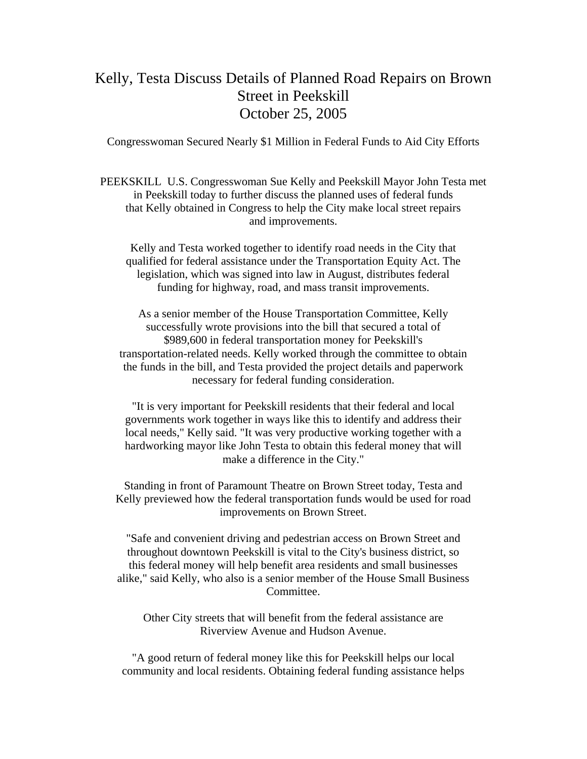## Kelly, Testa Discuss Details of Planned Road Repairs on Brown Street in Peekskill October 25, 2005

Congresswoman Secured Nearly \$1 Million in Federal Funds to Aid City Efforts

PEEKSKILL U.S. Congresswoman Sue Kelly and Peekskill Mayor John Testa met in Peekskill today to further discuss the planned uses of federal funds that Kelly obtained in Congress to help the City make local street repairs and improvements.

Kelly and Testa worked together to identify road needs in the City that qualified for federal assistance under the Transportation Equity Act. The legislation, which was signed into law in August, distributes federal funding for highway, road, and mass transit improvements.

As a senior member of the House Transportation Committee, Kelly successfully wrote provisions into the bill that secured a total of \$989,600 in federal transportation money for Peekskill's transportation-related needs. Kelly worked through the committee to obtain the funds in the bill, and Testa provided the project details and paperwork necessary for federal funding consideration.

"It is very important for Peekskill residents that their federal and local governments work together in ways like this to identify and address their local needs," Kelly said. "It was very productive working together with a hardworking mayor like John Testa to obtain this federal money that will make a difference in the City."

Standing in front of Paramount Theatre on Brown Street today, Testa and Kelly previewed how the federal transportation funds would be used for road improvements on Brown Street.

"Safe and convenient driving and pedestrian access on Brown Street and throughout downtown Peekskill is vital to the City's business district, so this federal money will help benefit area residents and small businesses alike," said Kelly, who also is a senior member of the House Small Business Committee.

Other City streets that will benefit from the federal assistance are Riverview Avenue and Hudson Avenue.

"A good return of federal money like this for Peekskill helps our local community and local residents. Obtaining federal funding assistance helps